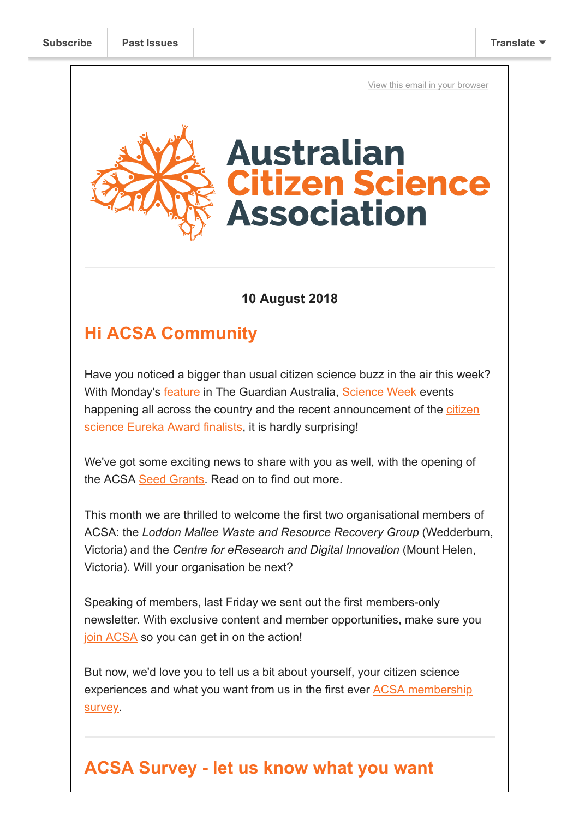[View this email in your browser](https://mailchi.mp/bf9930d44068/acsa-survey-seed-grants-science-week-and-so-much-more?e=[UNIQID])



### **10 August 2018**

### **Hi ACSA Community**

Have you noticed a bigger than usual citizen science buzz in the air this week? With Monday's [feature](https://www.theguardian.com/environment/2018/aug/06/the-golden-age-of-citizen-science-and-how-it-is-reshaping-the-world) in The Guardian Australia, [Science Week](https://www.scienceweek.net.au/) events [happening all across the country and the recent announcement of the citizen](https://australianmuseum.net.au/2018-eureka-prizes-finalists#diis-citizen-science) science Eureka Award finalists, it is hardly surprising!

We've got some exciting news to share with you as well, with the opening of the ACSA [Seed Grants.](https://citizenscience.org.au/2018/08/02/seed-grants-available-for-acsa-members-call-for-applications/) Read on to find out more.

This month we are thrilled to welcome the first two organisational members of ACSA: the *Loddon Mallee Waste and Resource Recovery Group* (Wedderburn, Victoria) and the *Centre for eResearch and Digital Innovation* (Mount Helen, Victoria). Will your organisation be next?

Speaking of members, last Friday we sent out the first members-only newsletter. With exclusive content and member opportunities, make sure you [join ACSA](https://citizenscience.org.au/join-now/) so you can get in on the action!

But now, we'd love you to tell us a bit about yourself, your citizen science [experiences and what you want from us in the first ever ACSA membership](https://goo.gl/forms/5jKIrcmIEzrtHn532) survey.

### **ACSA Survey - let us know what you want**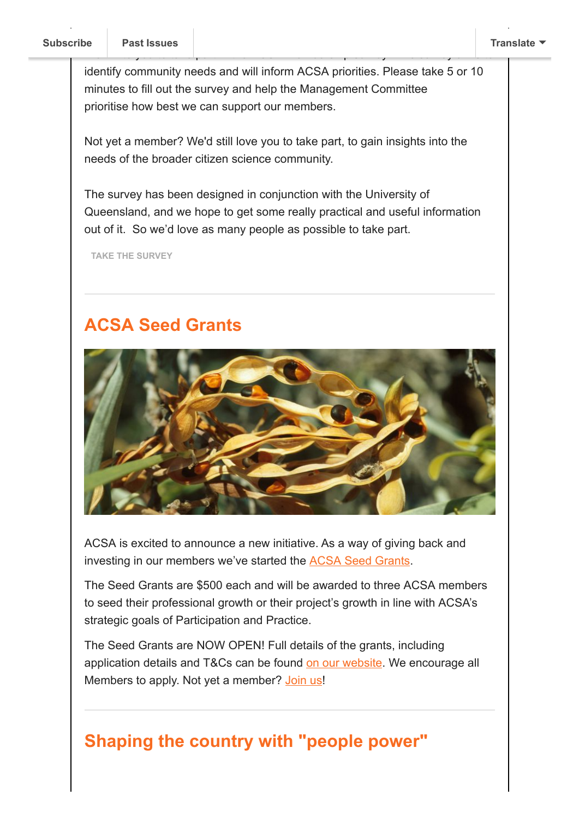identify community needs and will inform ACSA priorities. Please take 5 or 10 minutes to fill out the survey and help the Management Committee prioritise how best we can support our members.

We invite your to take part in the ACSA Membership survey. This survey aims to take  $\mathbb{R}^n$ 

Not yet a member? We'd still love you to take part, to gain insights into the needs of the broader citizen science community.

The survey has been designed in conjunction with the University of Queensland, and we hope to get some really practical and useful information out of it. So we'd love as many people as possible to take part.

**[TAKE THE SURVEY](https://goo.gl/forms/5jKIrcmIEzrtHn532)**

## **ACSA Seed Grants**



ACSA is excited to announce a new initiative. As a way of giving back and investing in our members we've started the [ACSA Seed Grants](https://citizenscience.org.au/2018/08/02/seed-grants-available-for-acsa-members-call-for-applications/).

The Seed Grants are \$500 each and will be awarded to three ACSA members to seed their professional growth or their project's growth in line with ACSA's strategic goals of Participation and Practice.

The Seed Grants are NOW OPEN! Full details of the grants, including application details and T&Cs can be found [on our website](https://citizenscience.org.au/2018/08/02/seed-grants-available-for-acsa-members-call-for-applications/). We encourage all Members to apply. Not yet a member? [Join us](https://citizenscience.org.au/join-now/)!

### **Shaping the country with "people power"**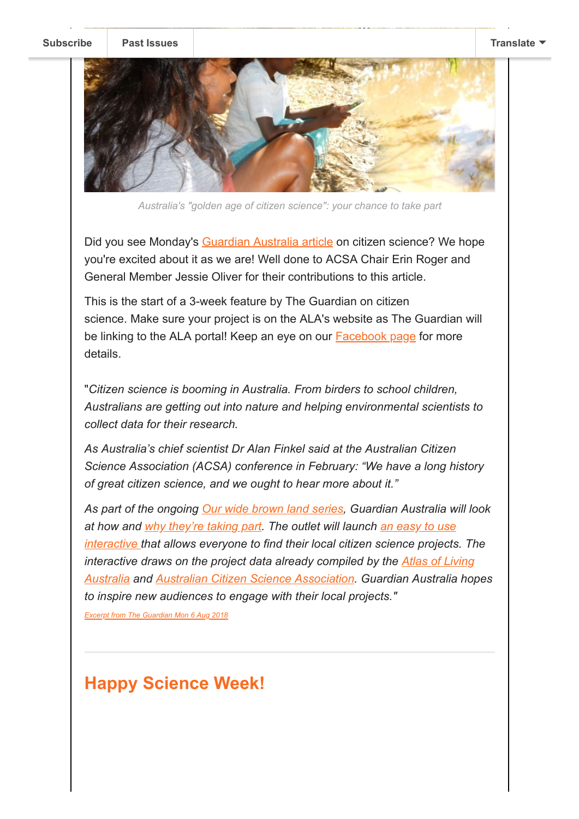**[Subscribe](http://eepurl.com/gr6ouP) [Past Issues](https://www.theguardian.com/environment/2018/aug/06/the-golden-age-of-citizen-science-and-how-it-is-reshaping-the-world) [Translate](javascript:;)**



*Australia's "golden age of citizen science": your chance to take part*

Did you see Monday's [Guardian Australia article](https://www.theguardian.com/environment/2018/aug/06/the-golden-age-of-citizen-science-and-how-it-is-reshaping-the-world) on citizen science? We hope you're excited about it as we are! Well done to ACSA Chair Erin Roger and General Member Jessie Oliver for their contributions to this article.

This is the start of a 3-week feature by The Guardian on citizen science. Make sure your project is on the ALA's website as The Guardian will be linking to the ALA portal! Keep an eye on our [Facebook page](https://www.facebook.com/AustralianCitizenScienceAssociation/) for more details.

"*Citizen science is booming in Australia. From birders to school children, Australians are getting out into nature and helping environmental scientists to collect data for their research.*

*As Australia's chief scientist Dr Alan Finkel said at the Australian Citizen Science Association (ACSA) conference in February: "We have a long history of great citizen science, and we ought to hear more about it."*

*As part of the ongoing [Our wide brown land series](https://www.theguardian.com/environment/series/our-wide-brown-land), Guardian Australia will look [at how and w](https://www.theguardian.com/environment/ng-interactive/2018/aug/06/people-powered)[hy they're taking part](https://www.theguardian.com/environment/2018/aug/06/the-golden-age-of-citizen-science-and-how-it-is-reshaping-the-world)[. The outlet will launch an easy to use](https://www.theguardian.com/environment/ng-interactive/2018/aug/06/people-powered) interactive that allows everyone to find their local citizen science projects. The interactive draws on the project data already compiled by the Atlas of Living [Australia and Australian Citizen Science Association. Guardian Australia hop](https://www.ala.org.au/)es to inspire new audiences to engage with their local projects."*

*[Excerpt from The Guardian Mon 6 Aug 2018](https://www.theguardian.com/guardian-australia-press-office/2018/aug/06/guardian-australias-encourages-readers-to-participate-in-citizen-science)*

## **Happy Science Week!**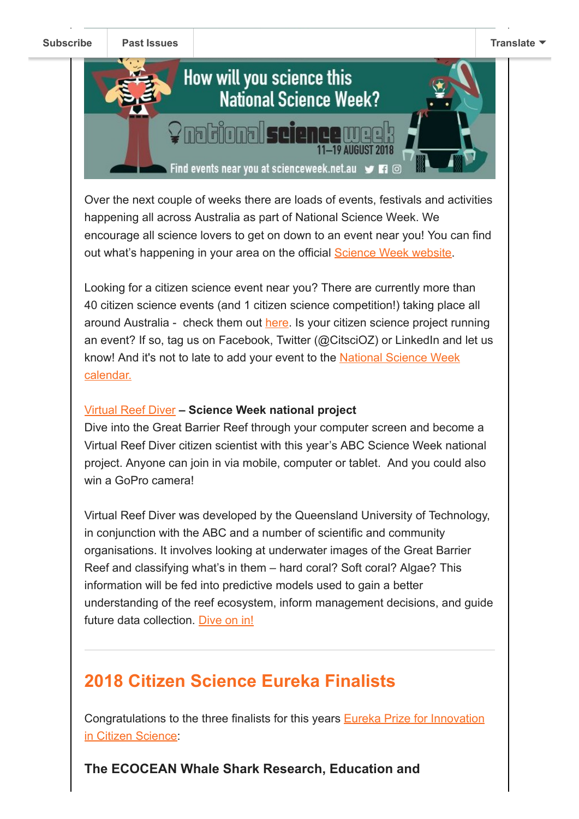

Over the next couple of weeks there are loads of events, festivals and activities happening all across Australia as part of National Science Week. We encourage all science lovers to get on down to an event near you! You can find out what's happening in your area on the official **[Science Week website](http://www.scienceweek.net.au/)**.

Looking for a citizen science event near you? There are currently more than 40 citizen science events (and 1 citizen science competition!) taking place all around Australia - check them out [here.](https://www.scienceweek.net.au/events/?search-location-code=&search-location-lat=&search-location-lng=&search-location-name=&search-location-type=&search-location=&search-date-start=Today&search-date-end=31%2F08%2F18&text=Citizen+Science&audience=All+ages&search-topic=) Is your citizen science project running an event? If so, tag us on Facebook, Twitter (@CitsciOZ) or LinkedIn and let us [know! And it's not to late to add your event to the National Science Week](https://www.scienceweek.net.au/event-holder-registration/) calendar.

#### [Virtual Reef Diver](https://www.virtualreef.org.au/) **– Science Week national project**

Dive into the Great Barrier Reef through your computer screen and become a Virtual Reef Diver citizen scientist with this year's ABC Science Week national project. Anyone can join in via mobile, computer or tablet. And you could also win a GoPro camera!

Virtual Reef Diver was developed by the Queensland University of Technology, in conjunction with the ABC and a number of scientific and community organisations. It involves looking at underwater images of the Great Barrier Reef and classifying what's in them – hard coral? Soft coral? Algae? This information will be fed into predictive models used to gain a better understanding of the reef ecosystem, inform management decisions, and guide future data collection. [Dive on in!](https://www.virtualreef.org.au/)

# **2018 Citizen Science Eureka Finalists**

[Congratulations to the three finalists for this years Eureka Prize for Innovation](https://australianmuseum.net.au/2018-eureka-prizes-finalists#diis-citizen-science) in Citizen Science:

**The ECOCEAN Whale Shark Research, Education and**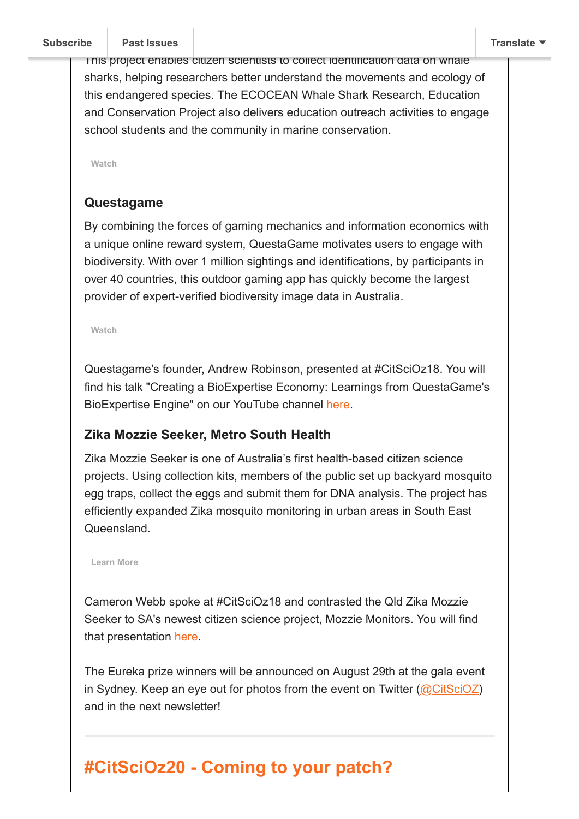This project enables citizen scientists to collect identification data on whale sharks, helping researchers better understand the movements and ecology of this endangered species. The ECOCEAN Whale Shark Research, Education and Conservation Project also delivers education outreach activities to engage school students and the community in marine conservation.

**[Watch](https://www.youtube.com/watch?v=CozY9mDQ4yI&feature=youtu.be)**

#### **Questagame**

By combining the forces of gaming mechanics and information economics with a unique online reward system, QuestaGame motivates users to engage with biodiversity. With over 1 million sightings and identifications, by participants in over 40 countries, this outdoor gaming app has quickly become the largest provider of expert-verified biodiversity image data in Australia.

**[Watch](https://www.youtube.com/watch?v=fb2avhYD-4g&feature=youtu.be)**

Questagame's founder, Andrew Robinson, presented at #CitSciOz18. You will find his talk "Creating a BioExpertise Economy: Learnings from QuestaGame's BioExpertise Engine" on our YouTube channel [here.](https://youtu.be/_Si128oL9fM)

#### **Zika Mozzie Seeker, Metro South Health**

Zika Mozzie Seeker is one of Australia's first health-based citizen science projects. Using collection kits, members of the public set up backyard mosquito egg traps, collect the eggs and submit them for DNA analysis. The project has efficiently expanded Zika mosquito monitoring in urban areas in South East **Queensland** 

**[Learn More](https://metrosouth.health.qld.gov.au/zika-mozzie-seeker)**

Cameron Webb spoke at #CitSciOz18 and contrasted the Qld Zika Mozzie Seeker to SA's newest citizen science project, Mozzie Monitors. You will find that presentation [here.](https://youtu.be/rPQQdgHuYD0)

The Eureka prize winners will be announced on August 29th at the gala event in Sydney. Keep an eye out for photos from the event on Twitter  $(QCitsciOZ)$ and in the next newsletter!

# **#CitSciOz20 - Coming to your patch?**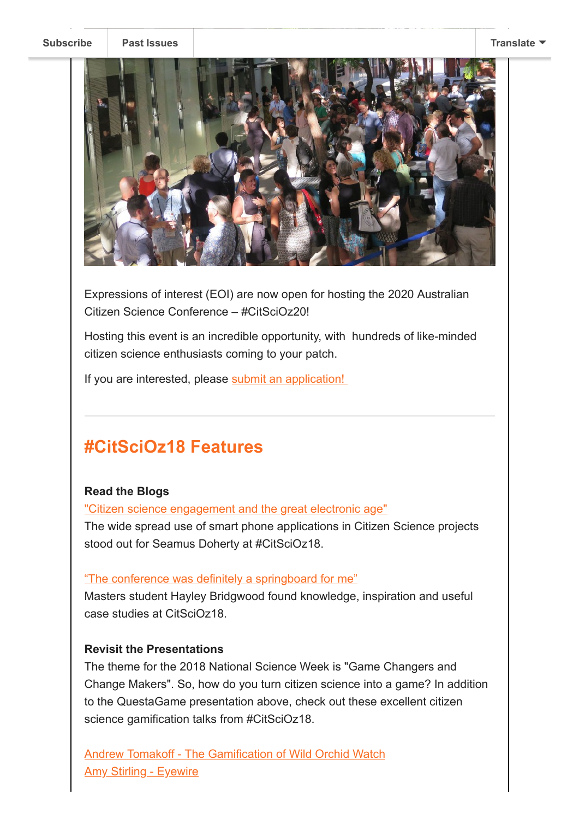

Expressions of interest (EOI) are now open for hosting the 2020 Australian Citizen Science Conference – #CitSciOz20!

Hosting this event is an incredible opportunity, with hundreds of like-minded citizen science enthusiasts coming to your patch.

If you are interested, please [submit an application!](https://citizenscience.org.au/wp-content/uploads/2018/07/EOI-for-2020-ACSA-Conference.pdf) 

## **#CitSciOz18 Features**

#### **Read the Blogs**

["Citizen science engagement and the great electronic age"](https://citizenscience.org.au/2018/08/03/citizen-science-engagement-and-the-great-electronic-age/)

The wide spread use of smart phone applications in Citizen Science projects stood out for Seamus Doherty at #CitSciOz18.

#### ["The conference was definitely a springboard for me"](https://citizenscience.org.au/2018/08/03/the-conference-was-definitely-a-springboard-for-me/)

Masters student Hayley Bridgwood found knowledge, inspiration and useful case studies at CitSciOz18.

#### **Revisit the Presentations**

The theme for the 2018 National Science Week is "Game Changers and Change Makers". So, how do you turn citizen science into a game? In addition to the QuestaGame presentation above, check out these excellent citizen science gamification talks from #CitSciOz18.

[Andrew Tomakoff - The Gamification of Wild Orchid Watch](https://youtu.be/o1y4nNEGkII) **[Amy Stirling - Eyewire](https://www.facebook.com/AustralianCitizenScienceAssociation/videos/1832466503431088/)**